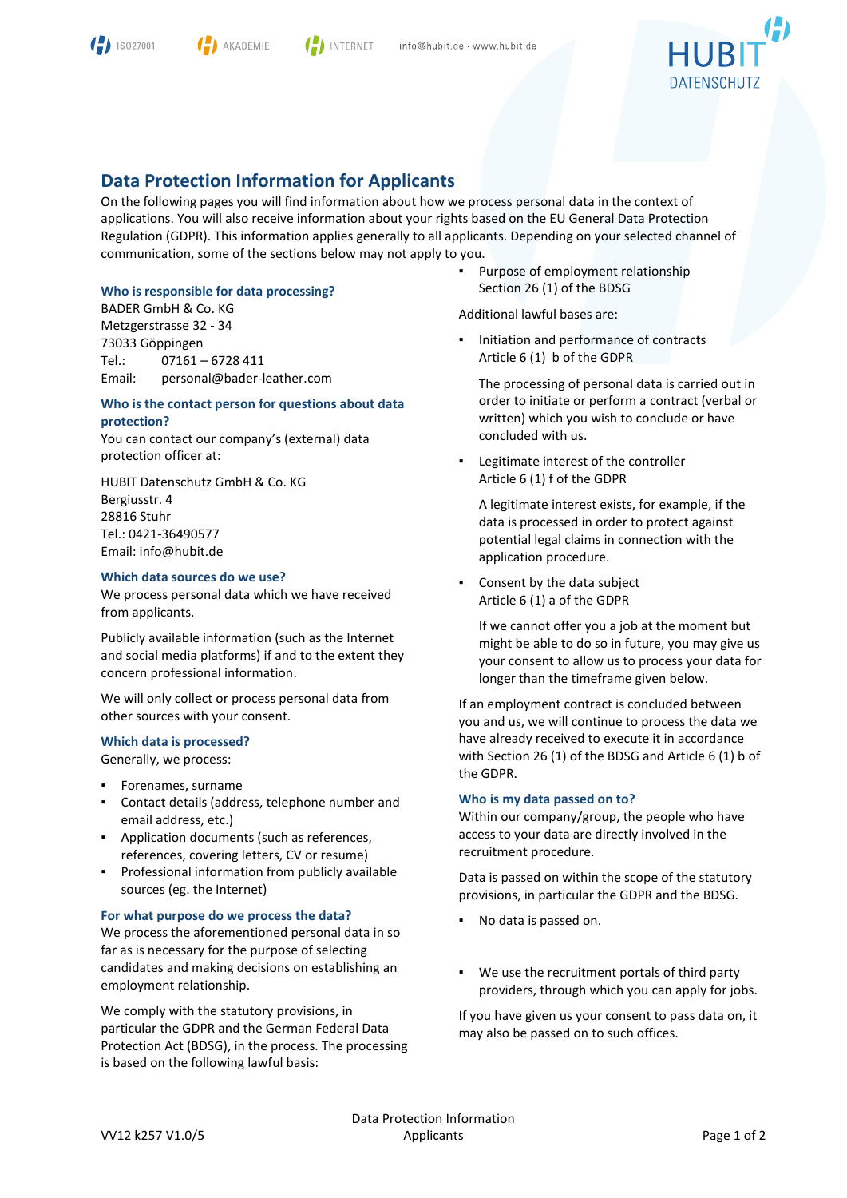



**I** INTERNET

$$
\text{HUBIT}^{\text{(i)}}
$$

# **Data Protection Information for Applicants**

On the following pages you will find information about how we process personal data in the context of applications. You will also receive information about your rights based on the EU General Data Protection Regulation (GDPR). This information applies generally to all applicants. Depending on your selected channel of communication, some of the sections below may not apply to you.

## **Who is responsible for data processing?**

BADER GmbH & Co. KG Metzgerstrasse 32 - 34 73033 Göppingen Tel.: 07161 – 6728 411 Email: personal@bader-leather.com

## **Who is the contact person for questions about data protection?**

You can contact our company's (external) data protection officer at:

HUBIT Datenschutz GmbH & Co. KG Bergiusstr. 4 28816 Stuhr Tel.: 0421-36490577 Email: info@hubit.de

## **Which data sources do we use?**

We process personal data which we have received from applicants.

Publicly available information (such as the Internet and social media platforms) if and to the extent they concern professional information.

We will only collect or process personal data from other sources with your consent.

## **Which data is processed?**

Generally, we process:

- Forenames, surname
- Contact details (address, telephone number and email address, etc.)
- Application documents (such as references, references, covering letters, CV or resume)
- Professional information from publicly available sources (eg. the Internet)

#### **For what purpose do we process the data?**

We process the aforementioned personal data in so far as is necessary for the purpose of selecting candidates and making decisions on establishing an employment relationship.

We comply with the statutory provisions, in particular the GDPR and the German Federal Data Protection Act (BDSG), in the process. The processing is based on the following lawful basis:

Purpose of employment relationship Section 26 (1) of the BDSG

Additional lawful bases are:

Initiation and performance of contracts Article 6 (1) b of the GDPR

The processing of personal data is carried out in order to initiate or perform a contract (verbal or written) which you wish to conclude or have concluded with us.

Legitimate interest of the controller Article 6 (1) f of the GDPR

A legitimate interest exists, for example, if the data is processed in order to protect against potential legal claims in connection with the application procedure.

Consent by the data subject Article 6 (1) a of the GDPR

If we cannot offer you a job at the moment but might be able to do so in future, you may give us your consent to allow us to process your data for longer than the timeframe given below.

If an employment contract is concluded between you and us, we will continue to process the data we have already received to execute it in accordance with Section 26 (1) of the BDSG and Article 6 (1) b of the GDPR.

#### **Who is my data passed on to?**

Within our company/group, the people who have access to your data are directly involved in the recruitment procedure.

Data is passed on within the scope of the statutory provisions, in particular the GDPR and the BDSG.

- No data is passed on.
- We use the recruitment portals of third party providers, through which you can apply for jobs.

If you have given us your consent to pass data on, it may also be passed on to such offices.